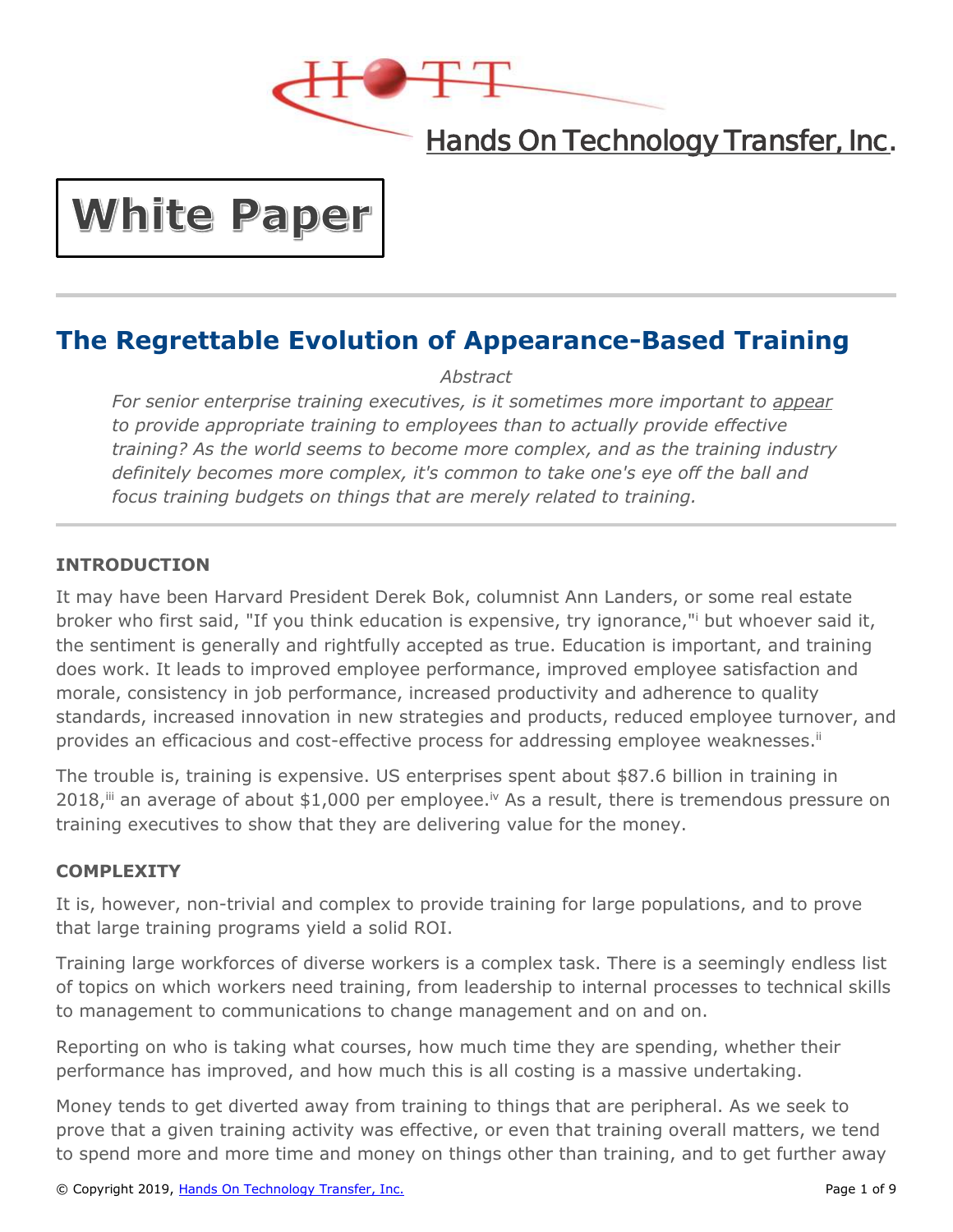

# Hands On Technology Transfer, Inc.

# **White Paper**

# **The Regrettable Evolution of Appearance-Based Training**

*Abstract*

*For senior enterprise training executives, is it sometimes more important to appear to provide appropriate training to employees than to actually provide effective training? As the world seems to become more complex, and as the training industry definitely becomes more complex, it's common to take one's eye off the ball and focus training budgets on things that are merely related to training.*

# **INTRODUCTION**

It may have been Harvard President Derek Bok, columnist Ann Landers, or some real estate broker who first said, "If you think education is expensive, try ignorance," but whoever said it, the sentiment is generally and rightfully accepted as true. Education is important, and training does work. It leads to improved employee performance, improved employee satisfaction and morale, consistency in job performance, increased productivity and adherence to quality standards, increased innovation in new strategies and products, reduced employee turnover, and provides an efficacious and cost-effective process for addressing employee weaknesses.<sup>ii</sup>

The trouble is, training is expensive. US enterprises spent about \$87.6 billion in training in 2018,  $\ddot{m}$  an average of about \$1,000 per employee.<sup>iv</sup> As a result, there is tremendous pressure on training executives to show that they are delivering value for the money.

## **COMPLEXITY**

It is, however, non-trivial and complex to provide training for large populations, and to prove that large training programs yield a solid ROI.

Training large workforces of diverse workers is a complex task. There is a seemingly endless list of topics on which workers need training, from leadership to internal processes to technical skills to management to communications to change management and on and on.

Reporting on who is taking what courses, how much time they are spending, whether their performance has improved, and how much this is all costing is a massive undertaking.

Money tends to get diverted away from training to things that are peripheral. As we seek to prove that a given training activity was effective, or even that training overall matters, we tend to spend more and more time and money on things other than training, and to get further away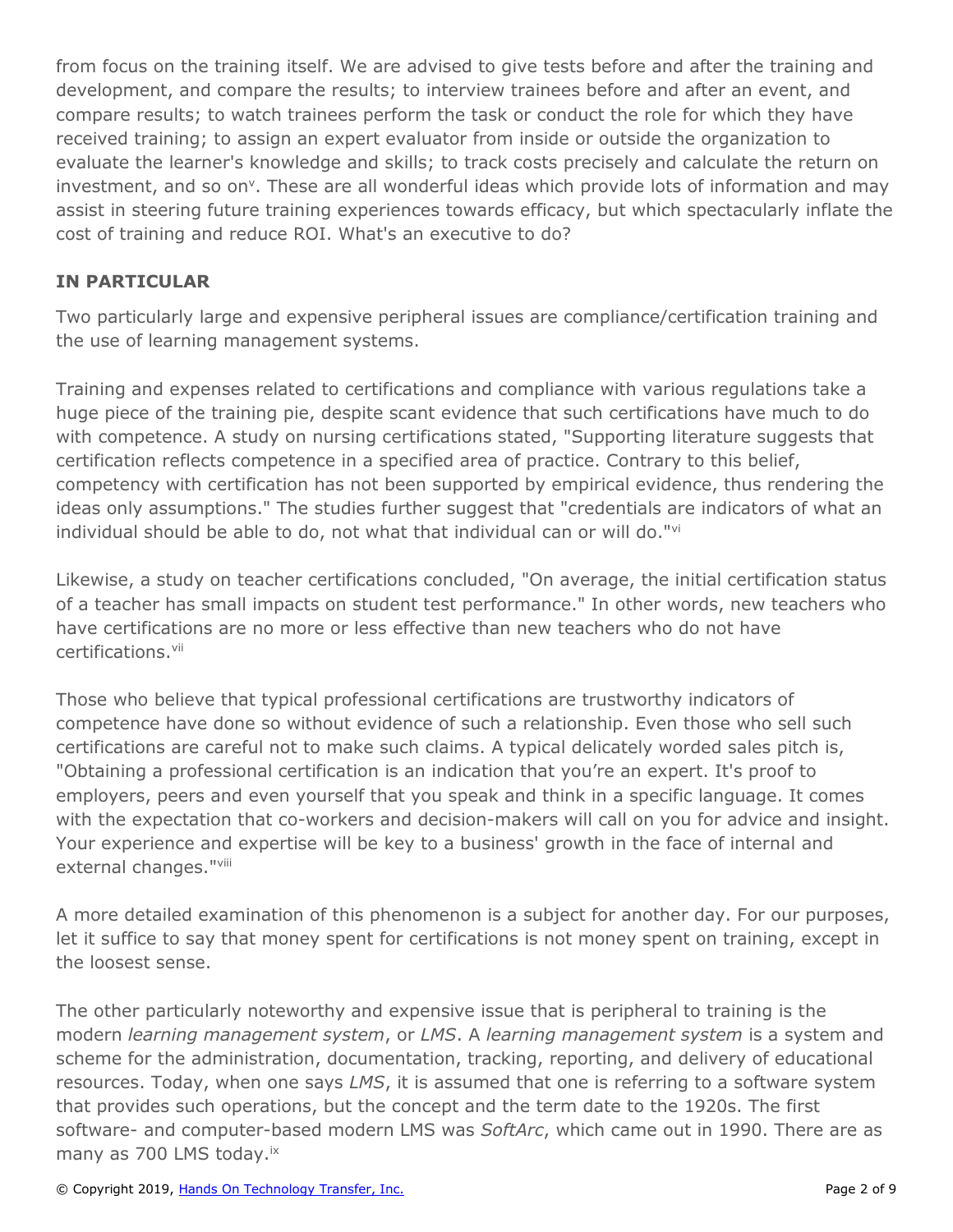from focus on the training itself. We are advised to give tests before and after the training and development, and compare the results; to interview trainees before and after an event, and compare results; to watch trainees perform the task or conduct the role for which they have received training; to assign an expert evaluator from inside or outside the organization to evaluate the learner's knowledge and skills; to track costs precisely and calculate the return on investment, and so on<sup>v</sup>. These are all wonderful ideas which provide lots of information and may assist in steering future training experiences towards efficacy, but which spectacularly inflate the cost of training and reduce ROI. What's an executive to do?

## **IN PARTICULAR**

Two particularly large and expensive peripheral issues are compliance/certification training and the use of learning management systems.

Training and expenses related to certifications and compliance with various regulations take a huge piece of the training pie, despite scant evidence that such certifications have much to do with competence. A study on nursing certifications stated, "Supporting literature suggests that certification reflects competence in a specified area of practice. Contrary to this belief, competency with certification has not been supported by empirical evidence, thus rendering the ideas only assumptions." The studies further suggest that "credentials are indicators of what an individual should be able to do, not what that individual can or will do."vi

Likewise, a study on teacher certifications concluded, "On average, the initial certification status of a teacher has small impacts on student test performance." In other words, new teachers who have certifications are no more or less effective than new teachers who do not have certifications.<sup>vii</sup>

Those who believe that typical professional certifications are trustworthy indicators of competence have done so without evidence of such a relationship. Even those who sell such certifications are careful not to make such claims. A typical delicately worded sales pitch is, "Obtaining a professional certification is an indication that you're an expert. It's proof to employers, peers and even yourself that you speak and think in a specific language. It comes with the expectation that co-workers and decision-makers will call on you for advice and insight. Your experience and expertise will be key to a business' growth in the face of internal and external changes."viii

A more detailed examination of this phenomenon is a subject for another day. For our purposes, let it suffice to say that money spent for certifications is not money spent on training, except in the loosest sense.

The other particularly noteworthy and expensive issue that is peripheral to training is the modern *learning management system*, or *LMS*. A *learning management system* is a system and scheme for the administration, documentation, tracking, reporting, and delivery of educational resources. Today, when one says *LMS*, it is assumed that one is referring to a software system that provides such operations, but the concept and the term date to the 1920s. The first software- and computer-based modern LMS was *SoftArc*, which came out in 1990. There are as many as 700 LMS today.<sup>ix</sup>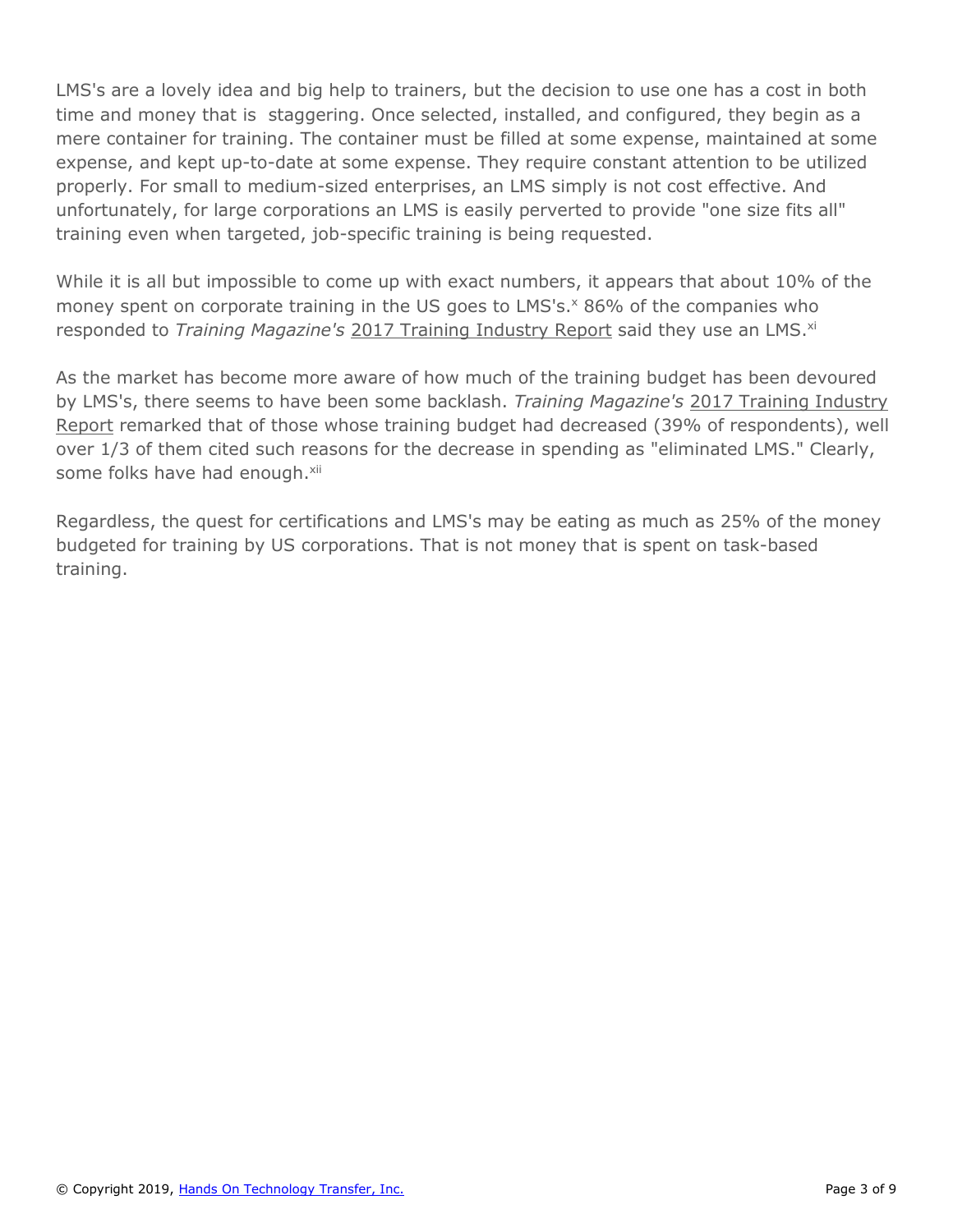LMS's are a lovely idea and big help to trainers, but the decision to use one has a cost in both time and money that is staggering. Once selected, installed, and configured, they begin as a mere container for training. The container must be filled at some expense, maintained at some expense, and kept up-to-date at some expense. They require constant attention to be utilized properly. For small to medium-sized enterprises, an LMS simply is not cost effective. And unfortunately, for large corporations an LMS is easily perverted to provide "one size fits all" training even when targeted, job-specific training is being requested.

While it is all but impossible to come up with exact numbers, it appears that about 10% of the money spent on corporate training in the US goes to LMS's.<sup>x</sup> 86% of the companies who responded to *Training Magazine's* 2017 Training Industry Report said they use an LMS.<sup>xi</sup>

As the market has become more aware of how much of the training budget has been devoured by LMS's, there seems to have been some backlash. *Training Magazine's* 2017 Training Industry Report remarked that of those whose training budget had decreased (39% of respondents), well over 1/3 of them cited such reasons for the decrease in spending as "eliminated LMS." Clearly, some folks have had enough.<sup>xii</sup>

Regardless, the quest for certifications and LMS's may be eating as much as 25% of the money budgeted for training by US corporations. That is not money that is spent on task-based training.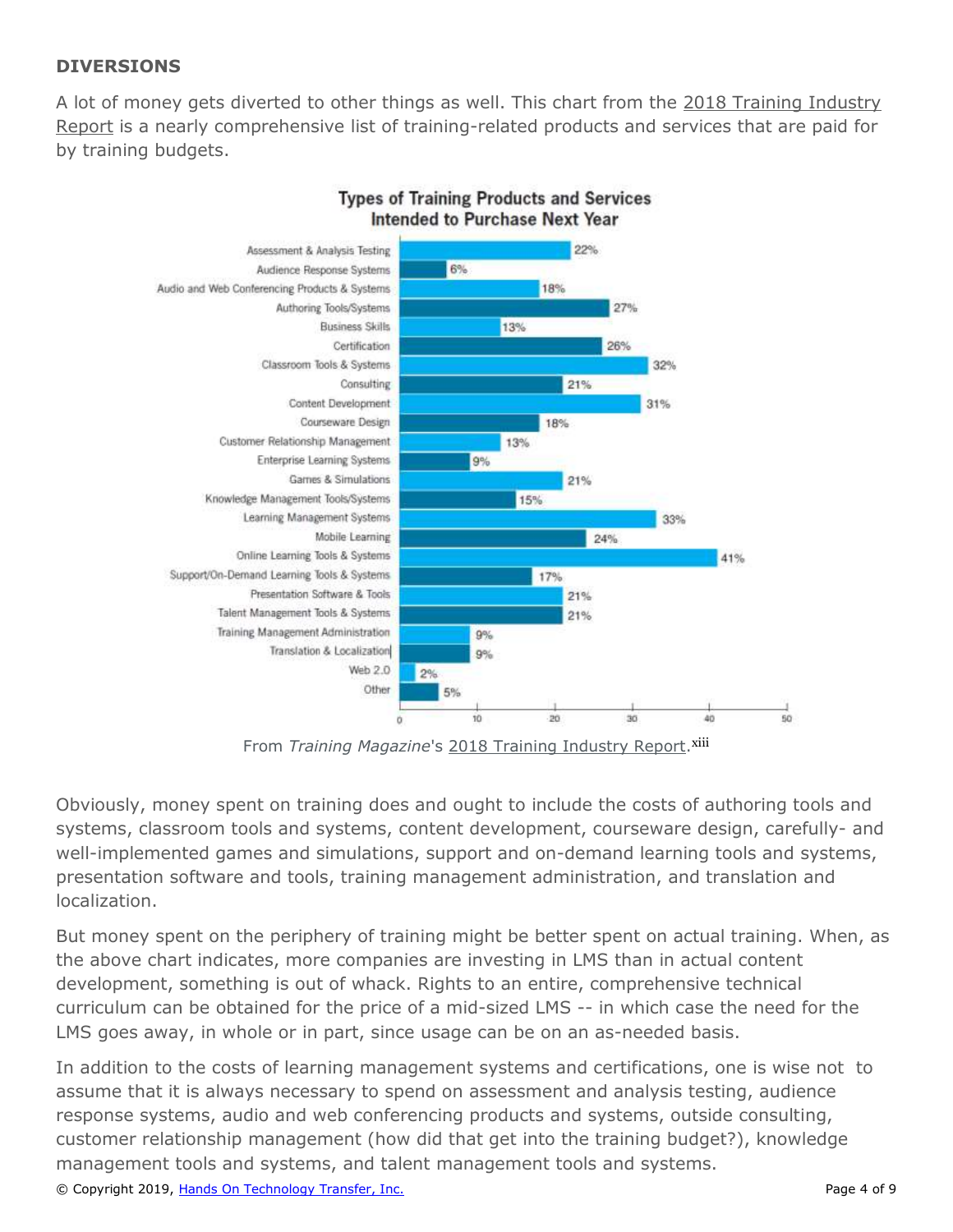# **DIVERSIONS**

A lot of money gets diverted to other things as well. This chart from the 2018 Training Industry Report is a nearly comprehensive list of training-related products and services that are paid for by training budgets.



#### **Types of Training Products and Services** Intended to Purchase Next Year

From *Training Magazine's* 2018 Training Industry Report.<sup>xiii</sup>

Obviously, money spent on training does and ought to include the costs of authoring tools and systems, classroom tools and systems, content development, courseware design, carefully- and well-implemented games and simulations, support and on-demand learning tools and systems, presentation software and tools, training management administration, and translation and localization.

But money spent on the periphery of training might be better spent on actual training. When, as the above chart indicates, more companies are investing in LMS than in actual content development, something is out of whack. Rights to an entire, comprehensive technical curriculum can be obtained for the price of a mid-sized LMS -- in which case the need for the LMS goes away, in whole or in part, since usage can be on an as-needed basis.

In addition to the costs of learning management systems and certifications, one is wise not to assume that it is always necessary to spend on assessment and analysis testing, audience response systems, audio and web conferencing products and systems, outside consulting, customer relationship management (how did that get into the training budget?), knowledge management tools and systems, and talent management tools and systems.

© Copyright 2019, [Hands On Technology Transfer, Inc.](https://www.traininghott.com/) Page 4 of 9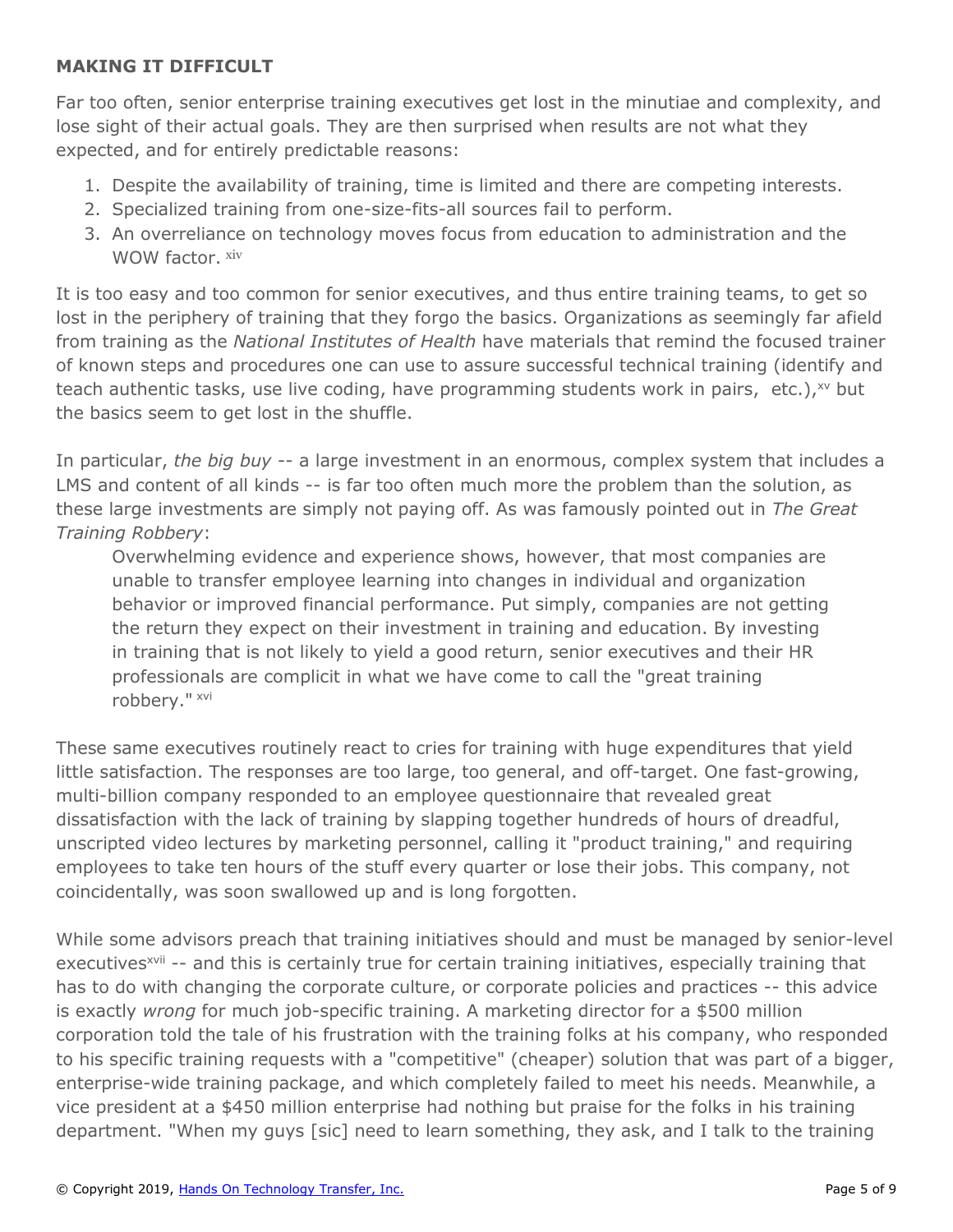# **MAKING IT DIFFICULT**

Far too often, senior enterprise training executives get lost in the minutiae and complexity, and lose sight of their actual goals. They are then surprised when results are not what they expected, and for entirely predictable reasons:

- 1. Despite the availability of training, time is limited and there are competing interests.
- 2. Specialized training from one-size-fits-all sources fail to perform.
- 3. An overreliance on technology moves focus from education to administration and the WOW factor. xiv

It is too easy and too common for senior executives, and thus entire training teams, to get so lost in the periphery of training that they forgo the basics. Organizations as seemingly far afield from training as the *National Institutes of Health* have materials that remind the focused trainer of known steps and procedures one can use to assure successful technical training (identify and teach authentic tasks, use live coding, have programming students work in pairs, etc.), xv but the basics seem to get lost in the shuffle.

In particular, *the big buy* -- a large investment in an enormous, complex system that includes a LMS and content of all kinds -- is far too often much more the problem than the solution, as these large investments are simply not paying off. As was famously pointed out in *The Great Training Robbery*:

Overwhelming evidence and experience shows, however, that most companies are unable to transfer employee learning into changes in individual and organization behavior or improved financial performance. Put simply, companies are not getting the return they expect on their investment in training and education. By investing in training that is not likely to yield a good return, senior executives and their HR professionals are complicit in what we have come to call the "great training robbery." xvi

These same executives routinely react to cries for training with huge expenditures that yield little satisfaction. The responses are too large, too general, and off-target. One fast-growing, multi-billion company responded to an employee questionnaire that revealed great dissatisfaction with the lack of training by slapping together hundreds of hours of dreadful, unscripted video lectures by marketing personnel, calling it "product training," and requiring employees to take ten hours of the stuff every quarter or lose their jobs. This company, not coincidentally, was soon swallowed up and is long forgotten.

While some advisors preach that training initiatives should and must be managed by senior-level executives<sup>xvii</sup> -- and this is certainly true for certain training initiatives, especially training that has to do with changing the corporate culture, or corporate policies and practices -- this advice is exactly *wrong* for much job-specific training. A marketing director for a \$500 million corporation told the tale of his frustration with the training folks at his company, who responded to his specific training requests with a "competitive" (cheaper) solution that was part of a bigger, enterprise-wide training package, and which completely failed to meet his needs. Meanwhile, a vice president at a \$450 million enterprise had nothing but praise for the folks in his training department. "When my guys [sic] need to learn something, they ask, and I talk to the training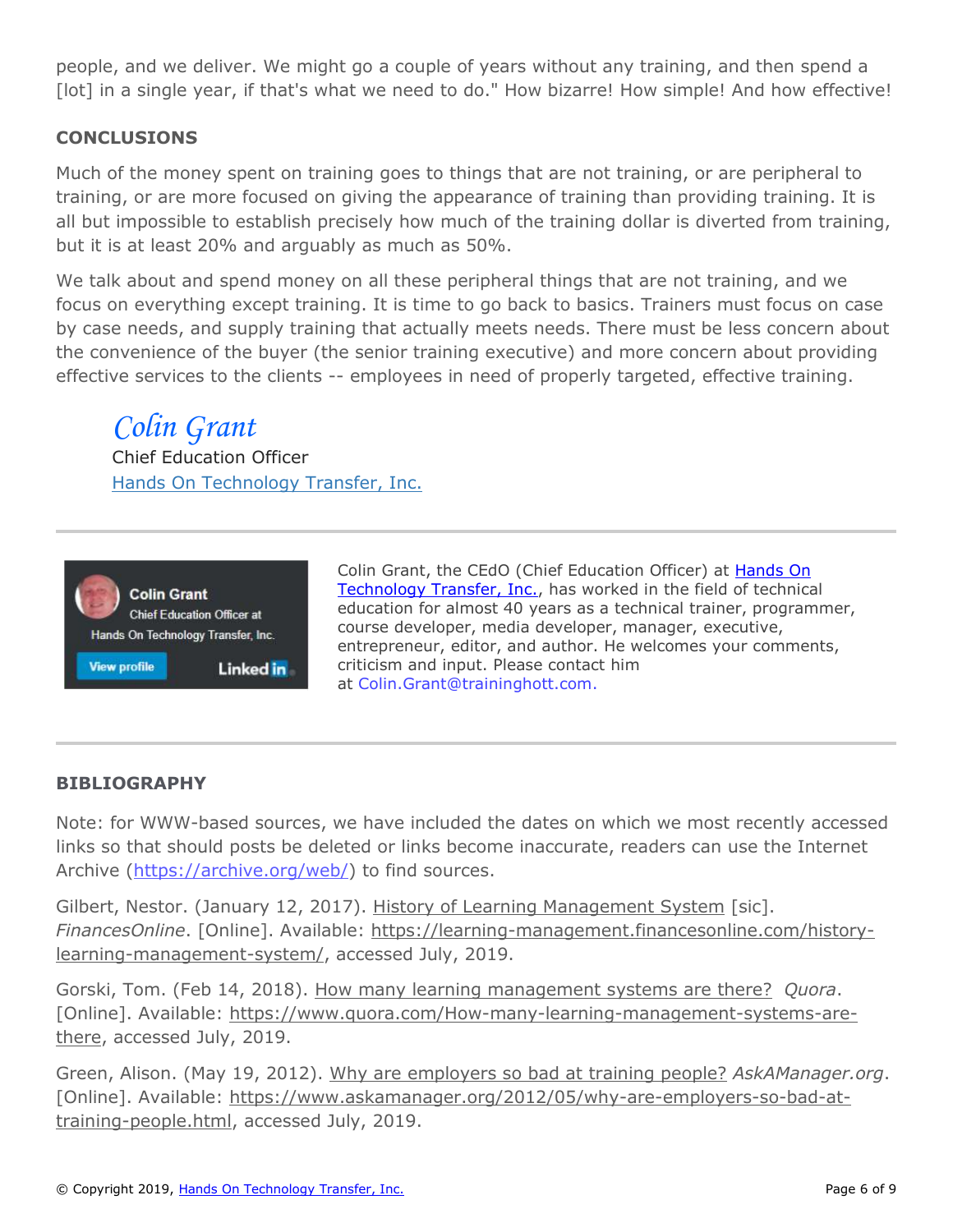people, and we deliver. We might go a couple of years without any training, and then spend a [lot] in a single year, if that's what we need to do." How bizarre! How simple! And how effective!

# **CONCLUSIONS**

Much of the money spent on training goes to things that are not training, or are peripheral to training, or are more focused on giving the appearance of training than providing training. It is all but impossible to establish precisely how much of the training dollar is diverted from training, but it is at least 20% and arguably as much as 50%.

We talk about and spend money on all these peripheral things that are not training, and we focus on everything except training. It is time to go back to basics. Trainers must focus on case by case needs, and supply training that actually meets needs. There must be less concern about the convenience of the buyer (the senior training executive) and more concern about providing effective services to the clients -- employees in need of properly targeted, effective training.

# *Colin Grant*

Chief Education Officer [Hands On Technology Transfer, Inc.](https://www.traininghott.com/)



Colin Grant, the CEdO (Chief Education Officer) at [Hands On](https://www.traininghott.com/)  [Technology Transfer, Inc.,](https://www.traininghott.com/) has worked in the field of technical education for almost 40 years as a technical trainer, programmer, course developer, media developer, manager, executive, entrepreneur, editor, and author. He welcomes your comments, criticism and input. Please contact him at [Colin.Grant@traininghott.com.](mailto:colin.grant@traininghott.com)

## **BIBLIOGRAPHY**

Note: for WWW-based sources, we have included the dates on which we most recently accessed links so that should posts be deleted or links become inaccurate, readers can use the Internet Archive [\(https://archive.org/web/\)](https://archive.org/web/) to find sources.

Gilbert, Nestor. (January 12, 2017). History of Learning Management System [sic]. *FinancesOnline*. [Online]. Available: [https://learning-management.financesonline.com/history](https://learning-management.financesonline.com/history-learning-management-system/)[learning-management-system/,](https://learning-management.financesonline.com/history-learning-management-system/) accessed July, 2019.

Gorski, Tom. (Feb 14, 2018). How many learning management systems are there? *Quora*. [Online]. Available: [https://www.quora.com/How-many-learning-management-systems-are](https://www.quora.com/How-many-learning-management-systems-are-there)[there,](https://www.quora.com/How-many-learning-management-systems-are-there) accessed July, 2019.

Green, Alison. (May 19, 2012). Why are employers so bad at training people? *AskAManager.org*. [Online]. Available: [https://www.askamanager.org/2012/05/why-are-employers-so-bad-at](https://www.askamanager.org/2012/05/why-are-employers-so-bad-at-training-people.html)[training-people.html,](https://www.askamanager.org/2012/05/why-are-employers-so-bad-at-training-people.html) accessed July, 2019.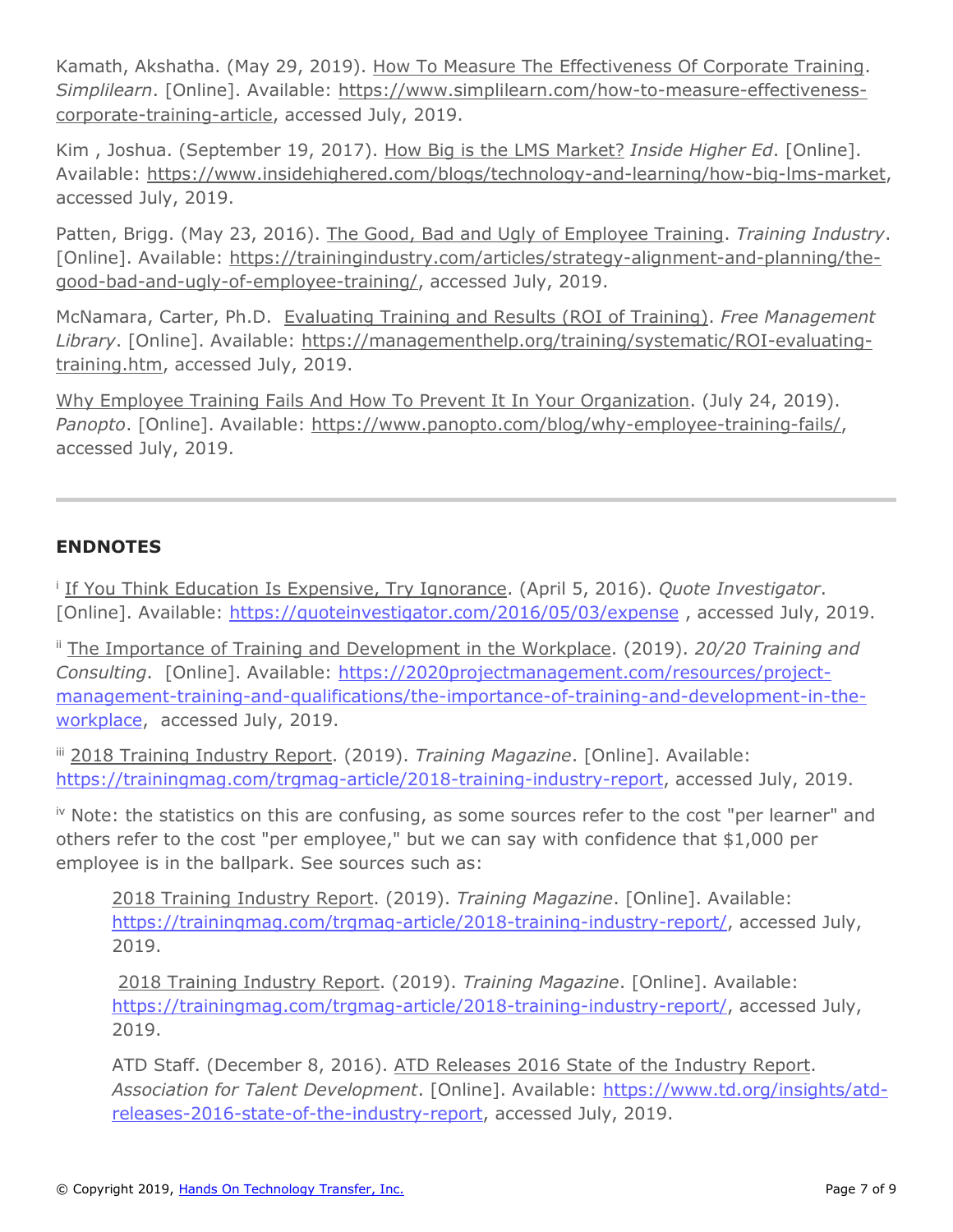Kamath, Akshatha. (May 29, 2019). How To Measure The Effectiveness Of Corporate Training. *Simplilearn*. [Online]. Available: [https://www.simplilearn.com/how-to-measure-effectiveness](https://www.simplilearn.com/how-to-measure-effectiveness-corporate-training-article)[corporate-training-article,](https://www.simplilearn.com/how-to-measure-effectiveness-corporate-training-article) accessed July, 2019.

Kim , Joshua. (September 19, 2017). How Big is the LMS Market? *Inside Higher Ed*. [Online]. Available: [https://www.insidehighered.com/blogs/technology-and-learning/how-big-lms-market,](https://www.insidehighered.com/blogs/technology-and-learning/how-big-lms-market) accessed July, 2019.

Patten, Brigg. (May 23, 2016). The Good, Bad and Ugly of Employee Training. *Training Industry*. [Online]. Available: [https://trainingindustry.com/articles/strategy-alignment-and-planning/the](https://trainingindustry.com/articles/strategy-alignment-and-planning/the-good-bad-and-ugly-of-employee-training/)[good-bad-and-ugly-of-employee-training/,](https://trainingindustry.com/articles/strategy-alignment-and-planning/the-good-bad-and-ugly-of-employee-training/) accessed July, 2019.

McNamara, Carter, Ph.D. Evaluating Training and Results (ROI of Training). *Free Management Library*. [Online]. Available: [https://managementhelp.org/training/systematic/ROI-evaluating](https://managementhelp.org/training/systematic/ROI-evaluating-training.htm)[training.htm,](https://managementhelp.org/training/systematic/ROI-evaluating-training.htm) accessed July, 2019.

Why Employee Training Fails And How To Prevent It In Your Organization. (July 24, 2019). *Panopto*. [Online]. Available: [https://www.panopto.com/blog/why-employee-training-fails/,](https://www.panopto.com/blog/why-employee-training-fails/) accessed July, 2019.

# **ENDNOTES**

i If You Think Education Is Expensive, Try Ignorance. (April 5, 2016). *Quote Investigator*. [Online]. Available: [https://quoteinvestigator.com/2016/05/03/expense](https://quoteinvestigator.com/2016/05/03/expense/), accessed July, 2019.

ii The Importance of Training and Development in the Workplace. (2019). *20/20 Training and Consulting*. [Online]. Available: [https://2020projectmanagement.com/resources/project](https://2020projectmanagement.com/resources/project-management-training-and-qualifications/the-importance-of-training-and-development-in-the-workplace)[management-training-and-qualifications/the-importance-of-training-and-development-in-the](https://2020projectmanagement.com/resources/project-management-training-and-qualifications/the-importance-of-training-and-development-in-the-workplace)[workplace,](https://2020projectmanagement.com/resources/project-management-training-and-qualifications/the-importance-of-training-and-development-in-the-workplace) accessed July, 2019.

iii 2018 Training Industry Report. (2019). *Training Magazine*. [Online]. Available: [https://trainingmag.com/trgmag-article/2018-training-industry-report,](https://trainingmag.com/trgmag-article/2018-training-industry-report) accessed July, 2019.

iv Note: the statistics on this are confusing, as some sources refer to the cost "per learner" and others refer to the cost "per employee," but we can say with confidence that \$1,000 per employee is in the ballpark. See sources such as:

2018 Training Industry Report. (2019). *Training Magazine*. [Online]. Available: <https://trainingmag.com/trgmag-article/2018-training-industry-report/>, accessed July, 2019.

2018 Training Industry Report. (2019). *Training Magazine*. [Online]. Available: [https://trainingmag.com/trgmag-article/2018-training-industry-report/,](https://trainingmag.com/trgmag-article/2018-training-industry-report/) accessed July, 2019.

ATD Staff. (December 8, 2016). ATD Releases 2016 State of the Industry Report. *Association for Talent Development*. [Online]. Available: [https://www.td.org/insights/atd](https://www.td.org/insights/atd-releases-2016-state-of-the-industry-report)[releases-2016-state-of-the-industry-report,](https://www.td.org/insights/atd-releases-2016-state-of-the-industry-report) accessed July, 2019.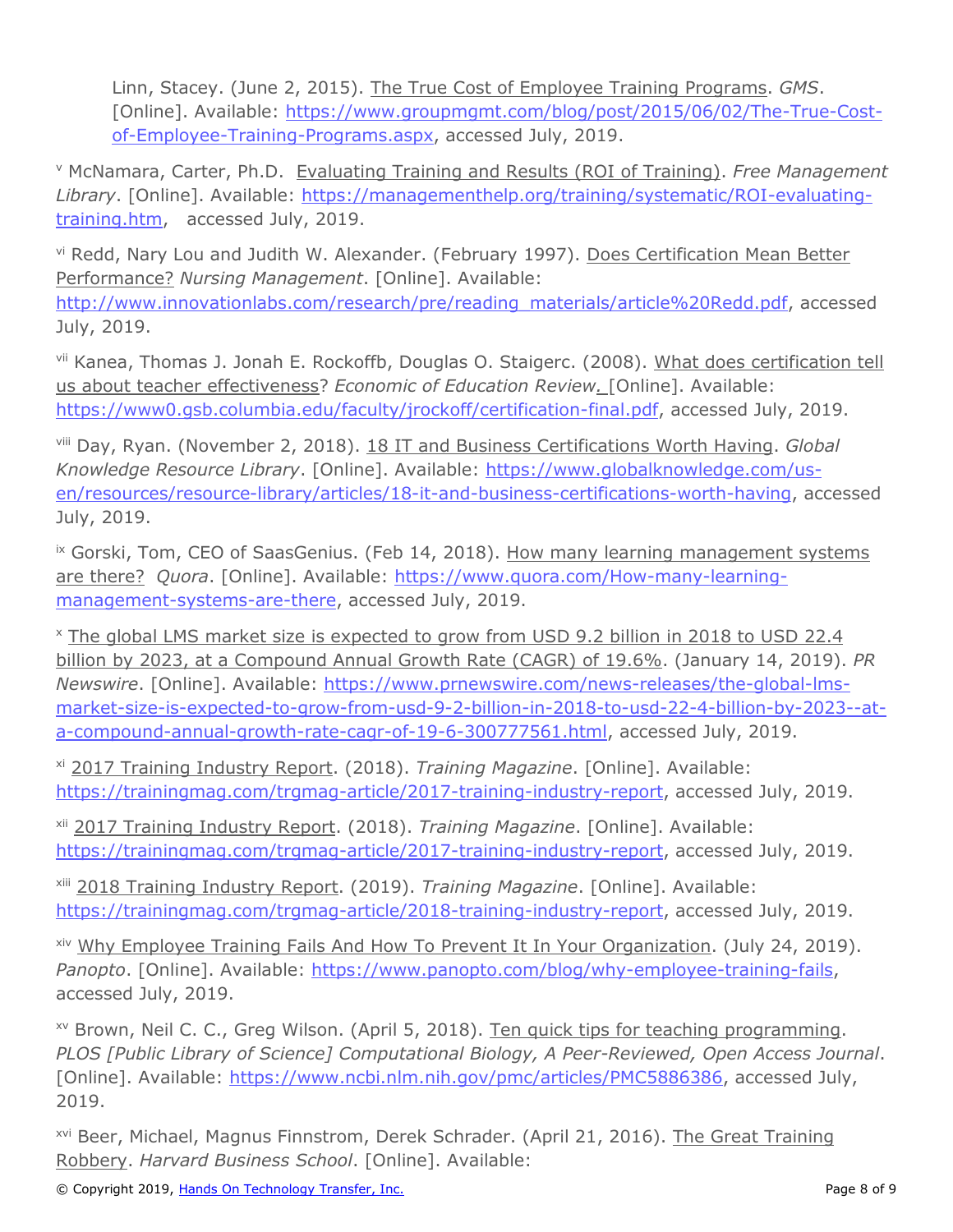Linn, Stacey. (June 2, 2015). The True Cost of Employee Training Programs. *GMS*. [Online]. Available: [https://www.groupmgmt.com/blog/post/2015/06/02/The-True-Cost](https://www.groupmgmt.com/blog/post/2015/06/02/The-True-Cost-of-Employee-Training-Programs.aspx)[of-Employee-Training-Programs.aspx,](https://www.groupmgmt.com/blog/post/2015/06/02/The-True-Cost-of-Employee-Training-Programs.aspx) accessed July, 2019.

<sup>v</sup> McNamara, Carter, Ph.D. Evaluating Training and Results (ROI of Training). *Free Management Library*. [Online]. Available: [https://managementhelp.org/training/systematic/ROI-evaluating](https://managementhelp.org/training/systematic/ROI-evaluating-training.htm)[training.htm,](https://managementhelp.org/training/systematic/ROI-evaluating-training.htm) accessed July, 2019.

vi Redd, Nary Lou and Judith W. Alexander. (February 1997). Does Certification Mean Better Performance? *Nursing Management*. [Online]. Available: [http://www.innovationlabs.com/research/pre/reading\\_materials/article%20Redd.pdf,](http://www.innovationlabs.com/research/pre/reading_materials/article%20Redd.pdf) accessed July, 2019.

vii Kanea, Thomas J. Jonah E. Rockoffb, Douglas O. Staigerc. (2008). What does certification tell us about teacher effectiveness? *Economic of Education Review.* [Online]. Available: [https://www0.gsb.columbia.edu/faculty/jrockoff/certification-final.pdf,](https://www0.gsb.columbia.edu/faculty/jrockoff/certification-final.pdf) accessed July, 2019.

viii Day, Ryan. (November 2, 2018). 18 IT and Business Certifications Worth Having. *Global Knowledge Resource Library*. [Online]. Available: [https://www.globalknowledge.com/us](https://www.globalknowledge.com/us-en/resources/resource-library/articles/18-it-and-business-certifications-worth-having)[en/resources/resource-library/articles/18-it-and-business-certifications-worth-having,](https://www.globalknowledge.com/us-en/resources/resource-library/articles/18-it-and-business-certifications-worth-having) accessed July, 2019.

<sup>ix</sup> Gorski, Tom, CEO of SaasGenius. (Feb 14, 2018). How many learning management systems are there? *Quora*. [Online]. Available: [https://www.quora.com/How-many-learning](https://www.quora.com/How-many-learning-management-systems-are-there)[management-systems-are-there,](https://www.quora.com/How-many-learning-management-systems-are-there) accessed July, 2019.

<sup>x</sup> The global LMS market size is expected to grow from USD 9.2 billion in 2018 to USD 22.4 billion by 2023, at a Compound Annual Growth Rate (CAGR) of 19.6%. (January 14, 2019). *PR Newswire*. [Online]. Available: [https://www.prnewswire.com/news-releases/the-global-lms](https://www.prnewswire.com/news-releases/the-global-lms-market-size-is-expected-to-grow-from-usd-9-2-billion-in-2018-to-usd-22-4-billion-by-2023--at-a-compound-annual-growth-rate-cagr-of-19-6-300777561.html)[market-size-is-expected-to-grow-from-usd-9-2-billion-in-2018-to-usd-22-4-billion-by-2023--at](https://www.prnewswire.com/news-releases/the-global-lms-market-size-is-expected-to-grow-from-usd-9-2-billion-in-2018-to-usd-22-4-billion-by-2023--at-a-compound-annual-growth-rate-cagr-of-19-6-300777561.html)[a-compound-annual-growth-rate-cagr-of-19-6-300777561.html,](https://www.prnewswire.com/news-releases/the-global-lms-market-size-is-expected-to-grow-from-usd-9-2-billion-in-2018-to-usd-22-4-billion-by-2023--at-a-compound-annual-growth-rate-cagr-of-19-6-300777561.html) accessed July, 2019.

xi 2017 Training Industry Report. (2018). *Training Magazine*. [Online]. Available: [https://trainingmag.com/trgmag-article/2017-training-industry-report,](https://trainingmag.com/trgmag-article/2017-training-industry-report) accessed July, 2019.

xii 2017 Training Industry Report. (2018). *Training Magazine*. [Online]. Available: [https://trainingmag.com/trgmag-article/2017-training-industry-report,](https://trainingmag.com/trgmag-article/2017-training-industry-report) accessed July, 2019.

xiii 2018 Training Industry Report. (2019). *Training Magazine*. [Online]. Available: <https://trainingmag.com/trgmag-article/2018-training-industry-report>, accessed July, 2019.

xiv Why Employee Training Fails And How To Prevent It In Your Organization. (July 24, 2019). Panopto. [Online]. Available: [https://www.panopto.com/blog/why-employee-training-fails,](https://www.panopto.com/blog/why-employee-training-fails) accessed July, 2019.

xv Brown, Neil C. C., Greg Wilson. (April 5, 2018). Ten quick tips for teaching programming. *PLOS [Public Library of Science] Computational Biology, A Peer-Reviewed, Open Access Journal*. [Online]. Available: [https://www.ncbi.nlm.nih.gov/pmc/articles/PMC5886386,](https://www.ncbi.nlm.nih.gov/pmc/articles/PMC5886386) accessed July, 2019.

<sup>xvi</sup> Beer, Michael, Magnus Finnstrom, Derek Schrader. (April 21, 2016). The Great Training Robbery. *Harvard Business School*. [Online]. Available: